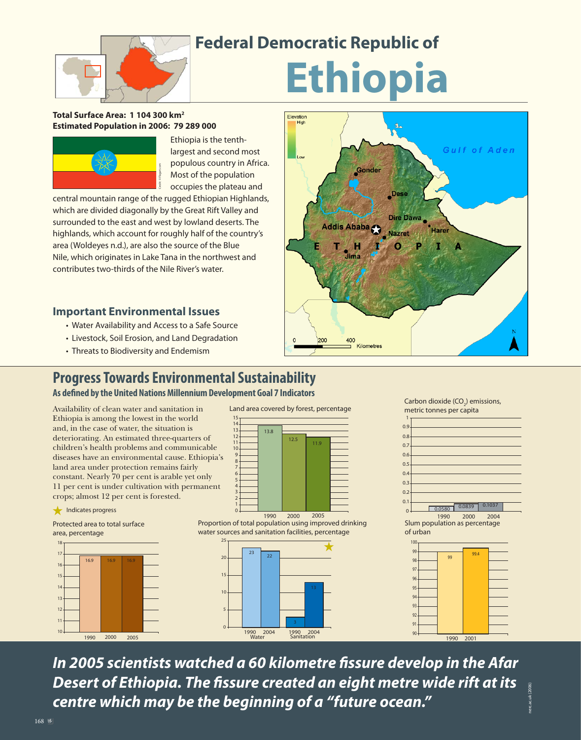

## **Federal Democratic Republic of**

Elevation

# **Ethiopia**

#### **Total Surface Area: 1 104 300 km2 Estimated Population in 2006: 79 289 000**



Ethiopia is the tenthlargest and second most populous country in Africa. Most of the population occupies the plateau and

central mountain range of the rugged Ethiopian Highlands, which are divided diagonally by the Great Rift Valley and surrounded to the east and west by lowland deserts. The highlands, which account for roughly half of the country's area (Woldeyes n.d.), are also the source of the Blue Nile, which originates in Lake Tana in the northwest and Most of the po<br>
entral mountain range of the rugged Ethiopia<br>
which are divided diagonally by the Great Rift \<br>
surrounded to the east and west by lowland de<br>
highlands, which account for roughly half of th<br>
area (Woldeyes

### **Important Environmental Issues**

- Water Availability and Access to a Safe Source
- Livestock, Soil Erosion, and Land Degradation
- Threats to Biodiversity and Endemism

# 200 400 Kilometres

### **Progress Towards Environmental Sustainability**

**As defined by the United Nations Millennium Development Goal 7 Indicators** 

Availability of clean water and sanitation in Ethiopia is among the lowest in the world and, in the case of water, the situation is deteriorating. An estimated three-quarters of children's health problems and communicable diseases have an environmental cause. Ethiopia's land area under protection remains fairly constant. Nearly 70 per cent is arable yet only 11 per cent is under cultivation with permanent crops; almost 12 per cent is forested.









Proportion of total population using improved drinking water sources and sanitation facilities, percentage





Gulf of Aden



1990 2001

nerc.ac.uk (2006)

*In 2005 scientists watched a 60 kilometre fi ssure develop in the Afar*  **Desert of Ethiopia. The fissure created an eight metre wide rift at its** *centre which may be the beginning of a "future ocean."*

168  $*$